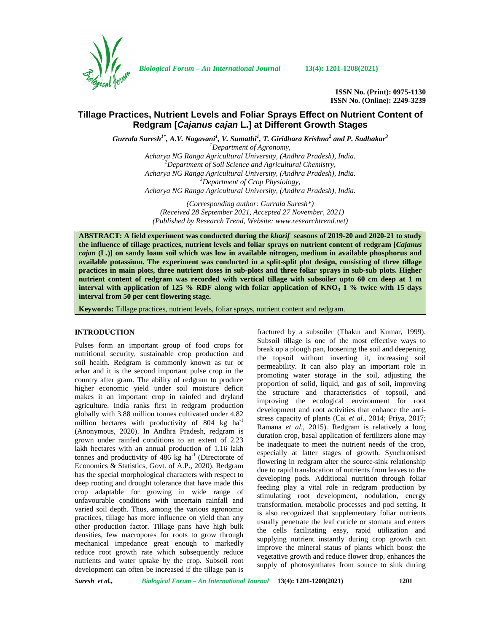

*Biological Forum – An International Journal* **13(4): 1201-1208(2021)**

**ISSN No. (Print): 0975-1130 ISSN No. (Online): 2249-3239**

# **Tillage Practices, Nutrient Levels and Foliar Sprays Effect on Nutrient Content of Redgram [***Cajanus cajan* **L.] at Different Growth Stages**

*Gurrala Suresh1\* , A.V. Nagavani<sup>1</sup> , V. Sumathi<sup>1</sup> , T. Giridhara Krishna<sup>2</sup> and P. Sudhakar<sup>3</sup> <sup>1</sup>Department of Agronomy,*

*Acharya NG Ranga Agricultural University, (Andhra Pradesh), India. <sup>2</sup>Department of Soil Science and Agricultural Chemistry, Acharya NG Ranga Agricultural University, (Andhra Pradesh), India. <sup>3</sup>Department of Crop Physiology, Acharya NG Ranga Agricultural University, (Andhra Pradesh), India.*

*(Corresponding author: Gurrala Suresh\*) (Received 28 September 2021, Accepted 27 November, 2021) (Published by Research Trend, Website: [www.researchtrend.net\)](www.researchtrend.net)*

**ABSTRACT: A field experiment was conducted during the** *kharif* **seasons of 2019-20 and 2020-21 to study the influence of tillage practices, nutrient levels and foliar sprays on nutrient content of redgram [***Cajanus cajan* **(L.)] on sandy loam soil which was low in available nitrogen, medium in available phosphorus and available potassium. The experiment was conducted in a split-split plot design, consisting of three tillage practices in main plots, three nutrient doses in sub-plots and three foliar sprays in sub-sub plots. Higher nutrient content of redgram was recorded with vertical tillage with subsoiler upto 60 cm deep at 1 m interval with application of 125 % RDF along with foliar application of KNO<sup>3</sup> 1 % twice with 15 days interval from 50 per cent flowering stage.**

**Keywords:** Tillage practices, nutrient levels, foliar sprays, nutrient content and redgram.

## **INTRODUCTION**

Pulses form an important group of food crops for nutritional security, sustainable crop production and soil health. Redgram is commonly known as tur or arhar and it is the second important pulse crop in the country after gram. The ability of redgram to produce higher economic yield under soil moisture deficit makes it an important crop in rainfed and dryland agriculture. India ranks first in redgram production globally with 3.88 million tonnes cultivated under 4.82 million hectares with productivity of  $804 \text{ kg}$  ha<sup>-1</sup> (Anonymous, 2020). In Andhra Pradesh, redgram is grown under rainfed conditions to an extent of 2.23 lakh hectares with an annual production of 1.16 lakh tonnes and productivity of  $486 \text{ kg}$  ha<sup>-1</sup> (Directorate of Economics & Statistics, Govt. of A.P., 2020). Redgram has the special morphological characters with respect to deep rooting and drought tolerance that have made this crop adaptable for growing in wide range of unfavourable conditions with uncertain rainfall and varied soil depth. Thus, among the various agronomic practices, tillage has more influence on yield than any other production factor. Tillage pans have high bulk densities, few macropores for roots to grow through mechanical impedance great enough to markedly reduce root growth rate which subsequently reduce nutrients and water uptake by the crop. Subsoil root development can often be increased if the tillage pan is

fractured by a subsoiler (Thakur and Kumar, 1999). Subsoil tillage is one of the most effective ways to break up a plough pan, loosening the soil and deepening the topsoil without inverting it, increasing soil permeability. It can also play an important role in promoting water storage in the soil, adjusting the proportion of solid, liquid, and gas of soil, improving the structure and characteristics of topsoil, and improving the ecological environment for root development and root activities that enhance the anti stress capacity of plants (Cai *et al.,* 2014; Priya, 2017; Ramana *et al*., 2015). Redgram is relatively a long duration crop, basal application of fertilizers alone may be inadequate to meet the nutrient needs of the crop, especially at latter stages of growth. Synchronised flowering in redgram alter the source-sink relationship due to rapid translocation of nutrients from leaves to the developing pods. Additional nutrition through foliar feeding play a vital role in redgram production by stimulating root development, nodulation, energy transformation, metabolic processes and pod setting. It is also recognized that supplementary foliar nutrients usually penetrate the leaf cuticle or stomata and enters the cells facilitating easy, rapid utilization and supplying nutrient instantly during crop growth can improve the mineral status of plants which boost the vegetative growth and reduce flower drop, enhances the supply of photosynthates from source to sink during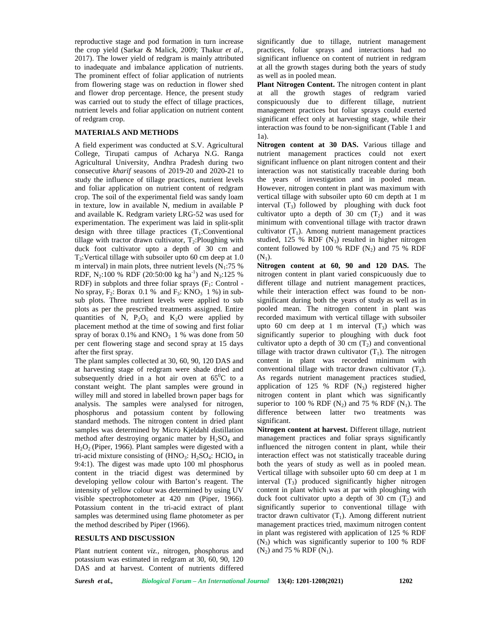reproductive stage and pod formation in turn increase the crop yield (Sarkar & Malick, 2009; Thakur *et al*., 2017). The lower yield of redgram is mainly attributed to inadequate and imbalance application of nutrients. The prominent effect of foliar application of nutrients from flowering stage was on reduction in flower shed and flower drop percentage. Hence, the present study was carried out to study the effect of tillage practices, nutrient levels and foliar application on nutrient content of redgram crop.

## **MATERIALS AND METHODS**

A field experiment was conducted at S.V. Agricultural College, Tirupati campus of Acharya N.G. Ranga Agricultural University, Andhra Pradesh during two consecutive *kharif* seasons of 2019-20 and 2020-21 to study the influence of tillage practices, nutrient levels and foliar application on nutrient content of redgram crop. The soil of the experimental field was sandy loam in texture, low in available N, medium in available P and available K. Redgram variety LRG-52 was used for experimentation. The experiment was laid in split-split design with three tillage practices  $(T_1:Conventional)$ tillage with tractor drawn cultivator,  $T_2$ : Ploughing with duck foot cultivator upto a depth of 30 cm and  $T_3$ : Vertical tillage with subsoiler upto 60 cm deep at 1.0 m interval) in main plots, three nutrient levels  $(N_1:75\%$ RDF, N<sub>2</sub>:100 % RDF (20:50:00 kg ha<sup>-1</sup>) and N<sub>3</sub>:125 % RDF) in subplots and three foliar sprays  $(F_1:$  Control -No spray,  $F_2$ : Borax 0.1 % and  $F_3$ : KNO<sub>3</sub> 1 %) in subsub plots. Three nutrient levels were applied to sub plots as per the prescribed treatments assigned. Entire quantities of N,  $P_2O_5$  and K<sub>2</sub>O were applied by placement method at the time of sowing and first foliar spray of borax  $0.1\%$  and  $KNO<sub>3</sub> 1\%$  was done from 50 per cent flowering stage and second spray at 15 days after the first spray.

The plant samples collected at 30, 60, 90, 120 DAS and at harvesting stage of redgram were shade dried and subsequently dried in a hot air oven at  $65^{\circ}$ C to a constant weight. The plant samples were ground in willey mill and stored in labelled brown paper bags for analysis. The samples were analysed for nitrogen, phosphorus and potassium content by following standard methods. The nitrogen content in dried plant samples was determined by Micro Kjeldahl distillation method after destroying organic matter by  $H_2SO_4$  and H2O<sup>2</sup> (Piper, 1966). Plant samples were digested with a tri-acid mixture consisting of  $(HNO<sub>3</sub>: H<sub>2</sub>SO<sub>4</sub>: HClO<sub>4</sub>$  in 9:4:1). The digest was made upto 100 ml phosphorus content in the triacid digest was determined by developing yellow colour with Barton's reagent. The intensity of yellow colour was determined by using UV visible spectrophotometer at 420 nm (Piper, 1966). Potassium content in the tri-acid extract of plant samples was determined using flame photometer as per the method described by Piper (1966).

### **RESULTS AND DISCUSSION**

Plant nutrient content *viz.,* nitrogen, phosphorus and potassium was estimated in redgram at 30, 60, 90, 120 DAS and at harvest. Content of nutrients differed

significantly due to tillage, nutrient management practices, foliar sprays and interactions had no significant influence on content of nutrient in redgram at all the growth stages during both the years of study as well as in pooled mean.

**Plant Nitrogen Content.** The nitrogen content in plant at all the growth stages of redgram varied conspicuously due to different tillage, nutrient management practices but foliar sprays could exerted significant effect only at harvesting stage, while their interaction was found to be non-significant (Table 1 and 1a).

**Nitrogen content at 30 DAS.** Various tillage and nutrient management practices could not exert significant influence on plant nitrogen content and their interaction was not statistically traceable during both the years of investigation and in pooled mean. However, nitrogen content in plant was maximum with vertical tillage with subsoiler upto 60 cm depth at 1 m interval  $(T_3)$  followed by ploughing with duck foot cultivator upto a depth of 30 cm  $(T_2)$  and it was minimum with conventional tillage with tractor drawn cultivator  $(T_1)$ . Among nutrient management practices studied, 125 % RDF  $(N_3)$  resulted in higher nitrogen content followed by 100 % RDF  $(N_2)$  and 75 % RDF  $(N_1)$ .

**Nitrogen content at 60, 90 and 120 DAS.** The nitrogen content in plant varied conspicuously due to different tillage and nutrient management practices, while their interaction effect was found to be non significant during both the years of study as well as in pooled mean. The nitrogen content in plant was recorded maximum with vertical tillage with subsoiler upto 60 cm deep at 1 m interval  $(T_3)$  which was significantly superior to ploughing with duck foot cultivator upto a depth of 30 cm  $(T_2)$  and conventional tillage with tractor drawn cultivator  $(T_1)$ . The nitrogen content in plant was recorded minimum with conventional tillage with tractor drawn cultivator  $(T_1)$ . As regards nutrient management practices studied, application of 125 % RDF  $(N_3)$  registered higher nitrogen content in plant which was significantly superior to 100 % RDF  $(N_2)$  and 75 % RDF  $(N_1)$ . The difference between latter two treatments was significant.

**Nitrogen content at harvest.** Different tillage, nutrient management practices and foliar sprays significantly influenced the nitrogen content in plant, while their interaction effect was not statistically traceable during both the years of study as well as in pooled mean. Vertical tillage with subsoiler upto 60 cm deep at 1 m interval  $(T_3)$  produced significantly higher nitrogen content in plant which was at par with ploughing with duck foot cultivator upto a depth of 30 cm  $(T_2)$  and significantly superior to conventional tillage with tractor drawn cultivator  $(T_1)$ . Among different nutrient management practices tried, maximum nitrogen content in plant was registered with application of 125 % RDF  $(N_3)$  which was significantly superior to 100 % RDF  $(N_2)$  and 75 % RDF  $(N_1)$ .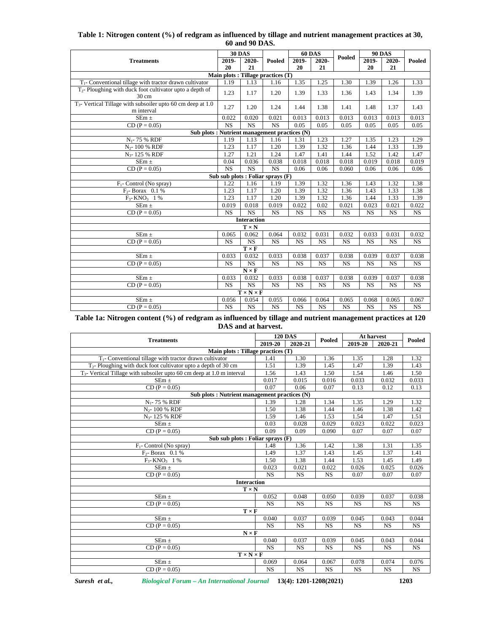|                                                                              |                        | 00 and 90 DAS.               |                                     |                        |                        |                        |                        |                        |                        |
|------------------------------------------------------------------------------|------------------------|------------------------------|-------------------------------------|------------------------|------------------------|------------------------|------------------------|------------------------|------------------------|
|                                                                              |                        | <b>30 DAS</b>                |                                     | <b>60 DAS</b>          |                        |                        |                        | <b>90 DAS</b>          |                        |
| <b>Treatments</b>                                                            | 2019-                  | 2020-                        | Pooled                              | 2019-                  | 2020-                  | Pooled                 | 2019-                  | 2020-                  | Pooled                 |
|                                                                              | 20                     | 21                           |                                     | 20                     | 21                     |                        | 20                     | 21                     |                        |
|                                                                              |                        |                              | Main plots : Tillage practices (T)  |                        |                        |                        |                        |                        |                        |
| $T_1$ - Conventional tillage with tractor drawn cultivator                   | 1.19                   | 1.13                         | 1.16                                | 1.35                   | 1.25                   | 1.30                   | 1.39                   | 1.26                   | 1.33                   |
| $T_2$ - Ploughing with duck foot cultivator upto a depth of<br>30 cm         | 1.23                   | 1.17                         | 1.20                                | 1.39                   | 1.33                   | 1.36                   | 1.43                   | 1.34                   | 1.39                   |
| $T_3$ - Vertical Tillage with subsoiler upto 60 cm deep at 1.0<br>m interval | 1.27                   | 1.20                         | 1.24                                | 1.44                   | 1.38                   | 1.41                   | 1.48                   | 1.37                   | 1.43                   |
| $SEm \pm$                                                                    | 0.022                  | 0.020                        | 0.021                               | 0.013                  | 0.013                  | 0.013                  | 0.013                  | 0.013                  | 0.013                  |
| $CD (P = 0.05)$                                                              | NS                     | <b>NS</b>                    | <b>NS</b>                           | 0.05                   | 0.05                   | 0.05                   | 0.05                   | 0.05                   | 0.05                   |
| Sub plots : Nutrient management practices (N)                                |                        |                              |                                     |                        |                        |                        |                        |                        |                        |
| $N_1$ - 75 % RDF                                                             | 1.19                   | 1.13                         | 1.16                                | 1.31                   | 1.23                   | 1.27                   | 1.35                   | 1.23                   | 1.29                   |
| $N_2$ - 100 % RDF                                                            | 1.23                   | 1.17                         | 1.20                                | 1.39                   | 1.32                   | 1.36                   | 1.44                   | 1.33                   | 1.39                   |
| N <sub>3</sub> -125 % RDF                                                    | 1.27                   | 1.21                         | 1.24                                | 1.47                   | 1.41                   | 1.44                   | 1.52                   | 1.42                   | 1.47                   |
| $SEm \pm$                                                                    | 0.04                   | 0.036                        | 0.038                               | 0.018                  | 0.018                  | 0.018                  | 0.019                  | 0.018                  | 0.019                  |
| $CD (P = 0.05)$                                                              | $\overline{\text{NS}}$ | NS                           | $\overline{\text{NS}}$              | 0.06                   | 0.06                   | 0.060                  | 0.06                   | 0.06                   | 0.06                   |
|                                                                              |                        |                              | Sub sub plots : Foliar sprays $(F)$ |                        |                        |                        |                        |                        |                        |
| $F_1$ - Control (No spray)                                                   | 1.22                   | 1.16                         | 1.19                                | 1.39                   | 1.32                   | 1.36                   | 1.43                   | 1.32                   | 1.38                   |
| $F_2$ - Borax 0.1 %                                                          | 1.23                   | 1.17                         | 1.20                                | 1.39                   | 1.32                   | 1.36                   | 1.43                   | 1.33                   | 1.38                   |
| $F_3$ - KNO <sub>3</sub> 1 %                                                 | 1.23                   | 1.17                         | 1.20                                | 1.39                   | 1.32                   | 1.36                   | 1.44                   | 1.33                   | 1.39                   |
| $SEm \pm$                                                                    | 0.019                  | 0.018                        | 0.019                               | 0.022                  | 0.02                   | 0.021                  | 0.023                  | 0.021                  | 0.022                  |
| $CD (P = 0.05)$                                                              | <b>NS</b>              | $\overline{\text{NS}}$       | <b>NS</b>                           | <b>NS</b>              | <b>NS</b>              | <b>NS</b>              | <b>NS</b>              | <b>NS</b>              | <b>NS</b>              |
|                                                                              |                        | <b>Interaction</b>           |                                     |                        |                        |                        |                        |                        |                        |
|                                                                              |                        | $T \times N$                 |                                     |                        |                        |                        |                        |                        |                        |
| $SEm \pm$                                                                    | 0.065                  | 0.062                        | 0.064                               | 0.032                  | 0.031                  | 0.032                  | 0.033                  | 0.031                  | 0.032                  |
| $CD (P = 0.05)$                                                              | <b>NS</b>              | <b>NS</b>                    | $\overline{\text{NS}}$              | <b>NS</b>              | <b>NS</b>              | <b>NS</b>              | <b>NS</b>              | <b>NS</b>              | <b>NS</b>              |
|                                                                              |                        | $\mathbf{T}\times\mathbf{F}$ |                                     |                        |                        |                        |                        |                        |                        |
| $SEm \pm$                                                                    | 0.033                  | 0.032                        | 0.033                               | 0.038                  | 0.037                  | 0.038                  | 0.039                  | 0.037                  | 0.038                  |
| $CD (P = 0.05)$                                                              | $\overline{\text{NS}}$ | $\overline{\text{NS}}$       | $\overline{\text{NS}}$              | $\overline{\text{NS}}$ | $\overline{\text{NS}}$ | $\overline{\text{NS}}$ | $\overline{\text{NS}}$ | $\overline{\text{NS}}$ | $\overline{\text{NS}}$ |
|                                                                              |                        | $N \times F$                 |                                     |                        |                        |                        |                        |                        |                        |
| $SEm \pm$                                                                    | 0.033                  | 0.032                        | 0.033                               | 0.038                  | 0.037                  | 0.038                  | 0.039                  | 0.037                  | 0.038                  |
| $CD (P = 0.05)$                                                              | NS                     | $\overline{\text{NS}}$       | $\overline{\text{NS}}$              | $\overline{\text{NS}}$ | $\overline{\text{NS}}$ | $\overline{\text{NS}}$ | <b>NS</b>              | <b>NS</b>              | $\overline{\text{NS}}$ |
|                                                                              |                        | $T \times N \times F$        |                                     |                        |                        |                        |                        |                        |                        |
| SE $m \pm$                                                                   | 0.056                  | 0.054                        | 0.055                               | 0.066                  | 0.064                  | 0.065                  | 0.068                  | 0.065                  | 0.067                  |
| $CD (P = 0.05)$                                                              | <b>NS</b>              | $\overline{\text{NS}}$       | <b>NS</b>                           | $\overline{\text{NS}}$ | <b>NS</b>              | <b>NS</b>              | <b>NS</b>              | <b>NS</b>              | $\overline{\text{NS}}$ |

## **Table 1: Nitrogen content (%) of redgram as influenced by tillage and nutrient management practices at 30, 60 and 90 DAS.**

**Table 1a: Nitrogen content (%) of redgram as influenced by tillage and nutrient management practices at 120 DAS and at harvest.**

|                                                                           |           | <b>120 DAS</b> |           | At harvest |           | Pooled    |  |
|---------------------------------------------------------------------------|-----------|----------------|-----------|------------|-----------|-----------|--|
| <b>Treatments</b>                                                         |           | 2020-21        | Pooled    | 2019-20    | 2020-21   |           |  |
| Main plots : Tillage practices (T)                                        |           |                |           |            |           |           |  |
| $T_1$ - Conventional tillage with tractor drawn cultivator                | 1.41      | 1.30           | 1.36      | 1.35       | 1.28      | 1.32      |  |
| $T_2$ - Ploughing with duck foot cultivator upto a depth of 30 cm         | 1.51      | 1.39           | 1.45      | 1.47       | 1.39      | 1.43      |  |
| $T_3$ - Vertical Tillage with subsoiler upto 60 cm deep at 1.0 m interval | 1.56      | 1.43           | 1.50      | 1.54       | 1.46      | 1.50      |  |
| $SEm \pm$                                                                 | 0.017     | 0.015          | 0.016     | 0.033      | 0.032     | 0.033     |  |
| $CD (P = 0.05)$                                                           | 0.07      | 0.06           | 0.07      | 0.13       | 0.12      | 0.13      |  |
| Sub plots : Nutrient management practices (N)                             |           |                |           |            |           |           |  |
| $N_1$ - 75 % RDF                                                          | 1.39      | 1.28           | 1.34      | 1.35       | 1.29      | 1.32      |  |
| N <sub>2</sub> -100 % RDF                                                 | 1.50      | 1.38           | 1.44      | 1.46       | 1.38      | 1.42      |  |
| N <sub>3</sub> -125 % RDF                                                 | 1.59      | 1.46           | 1.53      | 1.54       | 1.47      | 1.51      |  |
| SE $m \pm$                                                                | 0.03      | 0.028          | 0.029     | 0.023      | 0.022     | 0.023     |  |
| $CD (P = 0.05)$                                                           | 0.09      | 0.09           | 0.090     | 0.07       | 0.07      | 0.07      |  |
| Sub sub plots : Foliar sprays (F)                                         |           |                |           |            |           |           |  |
| $F_1$ - Control (No spray)                                                | 1.48      | 1.36           | 1.42      | 1.38       | 1.31      | 1.35      |  |
| $F_2$ - Borax 0.1 %                                                       | 1.49      | 1.37           | 1.43      | 1.45       | 1.37      | 1.41      |  |
| $F_3$ - KNO <sub>3</sub> 1 %                                              | 1.50      | 1.38           | 1.44      | 1.53       | 1.45      | 1.49      |  |
| $SEm \pm$                                                                 | 0.023     | 0.021          | 0.022     | 0.026      | 0.025     | 0.026     |  |
| $CD (P = 0.05)$                                                           | <b>NS</b> | <b>NS</b>      | <b>NS</b> | 0.07       | 0.07      | 0.07      |  |
| <b>Interaction</b>                                                        |           |                |           |            |           |           |  |
| $T \times N$                                                              |           |                |           |            |           |           |  |
| $SEm \pm$                                                                 | 0.052     | 0.048          | 0.050     | 0.039      | 0.037     | 0.038     |  |
| $CD (P = 0.05)$                                                           | <b>NS</b> | <b>NS</b>      | <b>NS</b> | <b>NS</b>  | <b>NS</b> | <b>NS</b> |  |
| $T \times F$                                                              |           |                |           |            |           |           |  |
| $SEm \pm$                                                                 | 0.040     | 0.037          | 0.039     | 0.045      | 0.043     | 0.044     |  |
| $CD (P = 0.05)$                                                           | <b>NS</b> | <b>NS</b>      | <b>NS</b> | <b>NS</b>  | <b>NS</b> | <b>NS</b> |  |
| $N \times F$                                                              |           |                |           |            |           |           |  |
| $SEm \pm$                                                                 | 0.040     | 0.037          | 0.039     | 0.045      | 0.043     | 0.044     |  |
| $CD (P = 0.05)$                                                           | <b>NS</b> | <b>NS</b>      | <b>NS</b> | <b>NS</b>  | <b>NS</b> | <b>NS</b> |  |
| $\mathbf{T}\times\mathbf{N}\times\mathbf{F}$                              |           |                |           |            |           |           |  |
| $SEm \pm$                                                                 | 0.069     | 0.064          | 0.067     | 0.078      | 0.074     | 0.076     |  |
| $CD (P = 0.05)$                                                           | <b>NS</b> | <b>NS</b>      | <b>NS</b> | <b>NS</b>  | <b>NS</b> | <b>NS</b> |  |
|                                                                           |           |                |           |            |           |           |  |

*Suresh et al., Biological Forum – An International Journal* **13(4): 1201-1208(2021) 1203**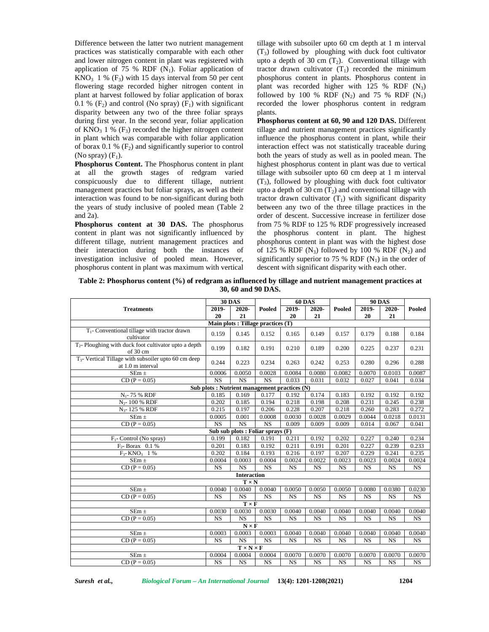Difference between the latter two nutrient management practices was statistically comparable with each other and lower nitrogen content in plant was registered with application of 75 % RDF  $(N_1)$ . Foliar application of  $KNO<sub>3</sub>$  1 % (F<sub>3</sub>) with 15 days interval from 50 per cent flowering stage recorded higher nitrogen content in plant at harvest followed by foliar application of borax 0.1 %  $(F_2)$  and control (No spray)  $(F_1)$  with significant disparity between any two of the three foliar sprays during first year. In the second year, foliar application of  $KNO_3$  1 % (F<sub>3</sub>) recorded the higher nitrogen content in plant which was comparable with foliar application of borax 0.1 %  $(F_2)$  and significantly superior to control (No spray)  $(F_1)$ .

**Phosphorus Content.** The Phosphorus content in plant at all the growth stages of redgram varied conspicuously due to different tillage, nutrient management practices but foliar sprays, as well as their interaction was found to be non-significant during both the years of study inclusive of pooled mean (Table 2 and 2a).

**Phosphorus content at 30 DAS.** The phosphorus content in plant was not significantly influenced by different tillage, nutrient management practices and their interaction during both the instances of investigation inclusive of pooled mean. However, phosphorus content in plant was maximum with vertical

tillage with subsoiler upto 60 cm depth at 1 m interval  $(T_3)$  followed by ploughing with duck foot cultivator upto a depth of 30 cm  $(T_2)$ . Conventional tillage with tractor drawn cultivator  $(T_1)$  recorded the minimum phosphorus content in plants. Phosphorus content in plant was recorded higher with 125 % RDF  $(N_3)$ followed by 100 % RDF  $(N_2)$  and 75 % RDF  $(N_1)$ recorded the lower phosphorus content in redgram plants.

**Phosphorus content at 60, 90 and 120 DAS.** Different tillage and nutrient management practices significantly influence the phosphorus content in plant, while their interaction effect was not statistically traceable during both the years of study as well as in pooled mean. The highest phosphorus content in plant was due to vertical tillage with subsoiler upto 60 cm deep at 1 m interval  $(T_3)$ , followed by ploughing with duck foot cultivator upto a depth of 30 cm  $(T_2)$  and conventional tillage with tractor drawn cultivator  $(T_1)$  with significant disparity between any two of the three tillage practices in the order of descent. Successive increase in fertilizer dose from 75 % RDF to 125 % RDF progressively increased the phosphorus content in plant. The highest phosphorus content in plant was with the highest dose of 125 % RDF  $(N_3)$  followed by 100 % RDF  $(N_2)$  and significantly superior to 75 % RDF  $(N_1)$  in the order of descent with significant disparity with each other.

**Table 2: Phosphorus content (%) of redgram as influenced by tillage and nutrient management practices at 30, 60 and 90 DAS.**

|                                                                             |                                               | <b>30 DAS</b>         |                                    |           | <b>60 DAS</b> |               | <b>90 DAS</b> |           |           |
|-----------------------------------------------------------------------------|-----------------------------------------------|-----------------------|------------------------------------|-----------|---------------|---------------|---------------|-----------|-----------|
| <b>Treatments</b>                                                           | 2019-                                         | 2020-                 | Pooled                             | 2019-     | 2020-         | <b>Pooled</b> | 2019-         | 2020-     | Pooled    |
|                                                                             | 20                                            | 21                    |                                    | 20        | 21            |               | 20            | 21        |           |
|                                                                             |                                               |                       | Main plots : Tillage practices (T) |           |               |               |               |           |           |
| $T_1$ - Conventional tillage with tractor drawn<br>cultivator               | 0.159                                         | 0.145                 | 0.152                              | 0.165     | 0.149         | 0.157         | 0.179         | 0.188     | 0.184     |
| $T_2$ - Ploughing with duck foot cultivator upto a depth<br>of 30 cm        | 0.199                                         | 0.182                 | 0.191                              | 0.210     | 0.189         | 0.200         | 0.225         | 0.237     | 0.231     |
| $T3$ - Vertical Tillage with subsoiler upto 60 cm deep<br>at 1.0 m interval | 0.244                                         | 0.223                 | 0.234                              | 0.263     | 0.242         | 0.253         | 0.280         | 0.296     | 0.288     |
| SEm $\pm$                                                                   | 0.0006                                        | 0.0050                | 0.0028                             | 0.0084    | 0.0080        | 0.0082        | 0.0070        | 0.0103    | 0.0087    |
| $CD (P = 0.05)$                                                             | <b>NS</b>                                     | <b>NS</b>             | <b>NS</b>                          | 0.033     | 0.031         | 0.032         | 0.027         | 0.041     | 0.034     |
|                                                                             | Sub plots : Nutrient management practices (N) |                       |                                    |           |               |               |               |           |           |
| $N_1$ - 75 % RDF                                                            | 0.185                                         | 0.169                 | 0.177                              | 0.192     | 0.174         | 0.183         | 0.192         | 0.192     | 0.192     |
| N <sub>2</sub> -100 % RDF                                                   | 0.202                                         | 0.185                 | 0.194                              | 0.218     | 0.198         | 0.208         | 0.231         | 0.245     | 0.238     |
| N <sub>3</sub> -125 % RDF                                                   | 0.215                                         | 0.197                 | 0.206                              | 0.228     | 0.207         | 0.218         | 0.260         | 0.283     | 0.272     |
| $SEm \pm$                                                                   | 0.0005                                        | 0.001                 | 0.0008                             | 0.0030    | 0.0028        | 0.0029        | 0.0044        | 0.0218    | 0.0131    |
| $CD (P = 0.05)$                                                             | <b>NS</b>                                     | <b>NS</b>             | <b>NS</b>                          | 0.009     | 0.009         | 0.009         | 0.014         | 0.067     | 0.041     |
|                                                                             |                                               |                       | Sub sub plots : Foliar sprays (F)  |           |               |               |               |           |           |
| $F_1$ - Control (No spray)                                                  | 0.199                                         | 0.182                 | 0.191                              | 0.211     | 0.192         | 0.202         | 0.227         | 0.240     | 0.234     |
| $F_2$ - Borax 0.1 %                                                         | 0.201                                         | 0.183                 | 0.192                              | 0.211     | 0.191         | 0.201         | 0.227         | 0.239     | 0.233     |
| $F_3$ - KNO <sub>3</sub> 1 %                                                | 0.202                                         | 0.184                 | 0.193                              | 0.216     | 0.197         | 0.207         | 0.229         | 0.241     | 0.235     |
| SEm $\pm$                                                                   | 0.0004                                        | 0.0003                | 0.0004                             | 0.0024    | 0.0022        | 0.0023        | 0.0023        | 0.0024    | 0.0024    |
| $CD (P = 0.05)$                                                             | <b>NS</b>                                     | <b>NS</b>             | <b>NS</b>                          | NS        | $_{\rm NS}$   | NS            | NS            | NS        | NS        |
|                                                                             |                                               | <b>Interaction</b>    |                                    |           |               |               |               |           |           |
|                                                                             |                                               | $T \times N$          |                                    |           |               |               |               |           |           |
| SEm $\pm$                                                                   | 0.0040                                        | 0.0040                | 0.0040                             | 0.0050    | 0.0050        | 0.0050        | 0.0080        | 0.0380    | 0.0230    |
| $CD (P = 0.05)$                                                             | <b>NS</b>                                     | NS                    | <b>NS</b>                          | <b>NS</b> | <b>NS</b>     | NS            | <b>NS</b>     | NS        | NS        |
|                                                                             |                                               | $T \times F$          |                                    |           |               |               |               |           |           |
| $SEm \pm$                                                                   | 0.0030                                        | 0.0030                | 0.0030                             | 0.0040    | 0.0040        | 0.0040        | 0.0040        | 0.0040    | 0.0040    |
| $CD (P = 0.05)$                                                             | <b>NS</b>                                     | <b>NS</b>             | <b>NS</b>                          | <b>NS</b> | <b>NS</b>     | <b>NS</b>     | <b>NS</b>     | <b>NS</b> | <b>NS</b> |
|                                                                             |                                               | $N \times F$          |                                    |           |               |               |               |           |           |
| $SEm \pm$                                                                   | 0.0003                                        | 0.0003                | 0.0003                             | 0.0040    | 0.0040        | 0.0040        | 0.0040        | 0.0040    | 0.0040    |
| $CD (P = 0.05)$                                                             | <b>NS</b>                                     | <b>NS</b>             | <b>NS</b>                          | <b>NS</b> | <b>NS</b>     | <b>NS</b>     | <b>NS</b>     | <b>NS</b> | <b>NS</b> |
|                                                                             |                                               | $T \times N \times F$ |                                    |           |               |               |               |           |           |
| $SEm \pm$                                                                   | 0.0004                                        | 0.0004                | 0.0004                             | 0.0070    | 0.0070        | 0.0070        | 0.0070        | 0.0070    | 0.0070    |
| $CD (P = 0.05)$                                                             | NS                                            | NS                    | <b>NS</b>                          | <b>NS</b> | <b>NS</b>     | <b>NS</b>     | <b>NS</b>     | <b>NS</b> | NS        |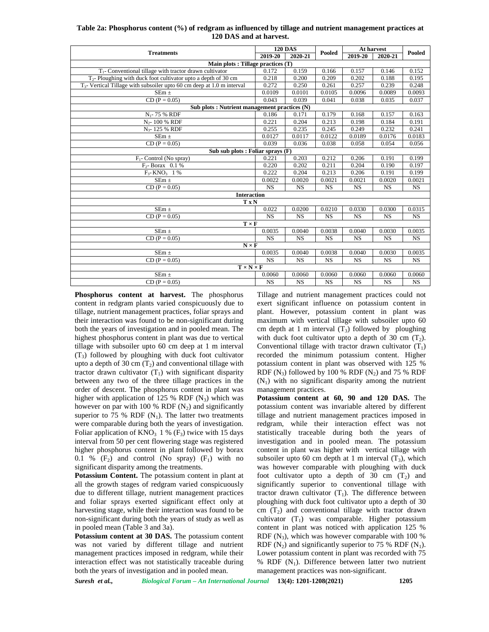| Table 2a: Phosphorus content (%) of redgram as influenced by tillage and nutrient management practices at |  |
|-----------------------------------------------------------------------------------------------------------|--|
| 120 DAS and at harvest.                                                                                   |  |

|                                                                             |           | <b>120 DAS</b> |           | At harvest |           |           |
|-----------------------------------------------------------------------------|-----------|----------------|-----------|------------|-----------|-----------|
| <b>Treatments</b>                                                           | 2019-20   | 2020-21        | Pooled    | 2019-20    | 2020-21   | Pooled    |
| Main plots : Tillage practices (T)                                          |           |                |           |            |           |           |
| $T_1$ - Conventional tillage with tractor drawn cultivator                  | 0.172     | 0.159          | 0.166     | 0.157      | 0.146     | 0.152     |
| $T2$ - Ploughing with duck foot cultivator upto a depth of 30 cm            | 0.218     | 0.200          | 0.209     | 0.202      | 0.188     | 0.195     |
| $T_{3}$ - Vertical Tillage with subsoiler upto 60 cm deep at 1.0 m interval | 0.272     | 0.250          | 0.261     | 0.257      | 0.239     | 0.248     |
| $SEm \pm$                                                                   | 0.0109    | 0.0101         | 0.0105    | 0.0096     | 0.0089    | 0.0093    |
| $CD (P = 0.05)$                                                             | 0.043     | 0.039          | 0.041     | 0.038      | 0.035     | 0.037     |
| Sub plots : Nutrient management practices (N)                               |           |                |           |            |           |           |
| $N_1$ - 75 % RDF                                                            | 0.186     | 0.171          | 0.179     | 0.168      | 0.157     | 0.163     |
| $N_{2}$ - 100 % RDF                                                         | 0.221     | 0.204          | 0.213     | 0.198      | 0.184     | 0.191     |
| N <sub>3</sub> -125 % RDF                                                   | 0.255     | 0.235          | 0.245     | 0.249      | 0.232     | 0.241     |
| $SEm \pm$                                                                   | 0.0127    | 0.0117         | 0.0122    | 0.0189     | 0.0176    | 0.0183    |
| $CD (P = 0.05)$                                                             | 0.039     | 0.036          | 0.038     | 0.058      | 0.054     | 0.056     |
| Sub sub plots : Foliar sprays $(F)$                                         |           |                |           |            |           |           |
| $F_1$ - Control (No spray)                                                  | 0.221     | 0.203          | 0.212     | 0.206      | 0.191     | 0.199     |
| $F_2$ - Borax 0.1 %                                                         | 0.220     | 0.202          | 0.211     | 0.204      | 0.190     | 0.197     |
| $F_3$ - KNO <sub>3</sub> 1 %                                                | 0.222     | 0.204          | 0.213     | 0.206      | 0.191     | 0.199     |
| SEm $\pm$                                                                   | 0.0022    | 0.0020         | 0.0021    | 0.0021     | 0.0020    | 0.0021    |
| $CD (P = 0.05)$                                                             | <b>NS</b> | <b>NS</b>      | <b>NS</b> | <b>NS</b>  | <b>NS</b> | <b>NS</b> |
| <b>Interaction</b>                                                          |           |                |           |            |           |           |
| <b>TxN</b>                                                                  |           |                |           |            |           |           |
| SEm $\pm$                                                                   | 0.022     | 0.0200         | 0.0210    | 0.0330     | 0.0300    | 0.0315    |
| $CD (P = 0.05)$                                                             | <b>NS</b> | <b>NS</b>      | <b>NS</b> | <b>NS</b>  | <b>NS</b> | <b>NS</b> |
| $T \times F$                                                                |           |                |           |            |           |           |
| $SEm \pm$                                                                   | 0.0035    | 0.0040         | 0.0038    | 0.0040     | 0.0030    | 0.0035    |
| $CD (P = 0.05)$                                                             | <b>NS</b> | <b>NS</b>      | <b>NS</b> | <b>NS</b>  | <b>NS</b> | <b>NS</b> |
| $N \times F$                                                                |           |                |           |            |           |           |
| $SEm \pm$                                                                   | 0.0035    | 0.0040         | 0.0038    | 0.0040     | 0.0030    | 0.0035    |
| $CD (P = 0.05)$                                                             | <b>NS</b> | <b>NS</b>      | <b>NS</b> | <b>NS</b>  | <b>NS</b> | <b>NS</b> |
| $T \times N \times F$                                                       |           |                |           |            |           |           |
| SEm $\pm$                                                                   | 0.0060    | 0.0060         | 0.0060    | 0.0060     | 0.0060    | 0.0060    |
| $CD (P = 0.05)$                                                             | <b>NS</b> | <b>NS</b>      | <b>NS</b> | <b>NS</b>  | <b>NS</b> | <b>NS</b> |

**Phosphorus content at harvest.** The phosphorus content in redgram plants varied conspicuously due to tillage, nutrient management practices, foliar sprays and their interaction was found to be non-significant during both the years of investigation and in pooled mean. The highest phosphorus content in plant was due to vertical tillage with subsoiler upto 60 cm deep at 1 m interval  $(T_3)$  followed by ploughing with duck foot cultivator upto a depth of 30 cm  $(T_2)$  and conventional tillage with tractor drawn cultivator  $(T_1)$  with significant disparity between any two of the three tillage practices in the order of descent. The phosphorus content in plant was higher with application of 125 % RDF  $(N_3)$  which was however on par with 100 % RDF  $(N_2)$  and significantly superior to 75 % RDF  $(N_1)$ . The latter two treatments were comparable during both the years of investigation. Foliar application of  $KNO_3$  1 % (F<sub>3</sub>) twice with 15 days interval from 50 per cent flowering stage was registered higher phosphorus content in plant followed by borax 0.1 %  $(F_2)$  and control (No spray)  $(F_1)$  with no significant disparity among the treatments.

**Potassium Content.** The potassium content in plant at all the growth stages of redgram varied conspicuously due to different tillage, nutrient management practices and foliar sprays exerted significant effect only at harvesting stage, while their interaction was found to be non-significant during both the years of study as well as in pooled mean (Table 3 and 3a).

**Potassium content at 30 DAS.** The potassium content was not varied by different tillage and nutrient management practices imposed in redgram, while their interaction effect was not statistically traceable during both the years of investigation and in pooled mean.

Tillage and nutrient management practices could not exert significant influence on potassium content in plant. However, potassium content in plant was maximum with vertical tillage with subsoiler upto 60 cm depth at 1 m interval  $(T_3)$  followed by ploughing with duck foot cultivator upto a depth of 30 cm  $(T_2)$ . Conventional tillage with tractor drawn cultivator  $(T_1)$ recorded the minimum potassium content. Higher potassium content in plant was observed with 125 % RDF  $(N_3)$  followed by 100 % RDF  $(N_2)$  and 75 % RDF  $(N_1)$  with no significant disparity among the nutrient management practices.

**Potassium content at 60, 90 and 120 DAS.** The potassium content was invariable altered by different tillage and nutrient management practices imposed in redgram, while their interaction effect was not statistically traceable during both the years of investigation and in pooled mean. The potassium content in plant was higher with vertical tillage with subsoiler upto 60 cm depth at 1 m interval  $(T_3)$ , which was however comparable with ploughing with duck foot cultivator upto a depth of 30 cm  $(T_2)$  and significantly superior to conventional tillage with tractor drawn cultivator  $(T_1)$ . The difference between ploughing with duck foot cultivator upto a depth of 30 cm  $(T_2)$  and conventional tillage with tractor drawn cultivator  $(T_1)$  was comparable. Higher potassium content in plant was noticed with application 125 % RDF  $(N_3)$ , which was however comparable with 100 % RDF  $(N_2)$  and significantly superior to 75 % RDF  $(N_1)$ . Lower potassium content in plant was recorded with 75 % RDF  $(N_1)$ . Difference between latter two nutrient management practices was non-significant.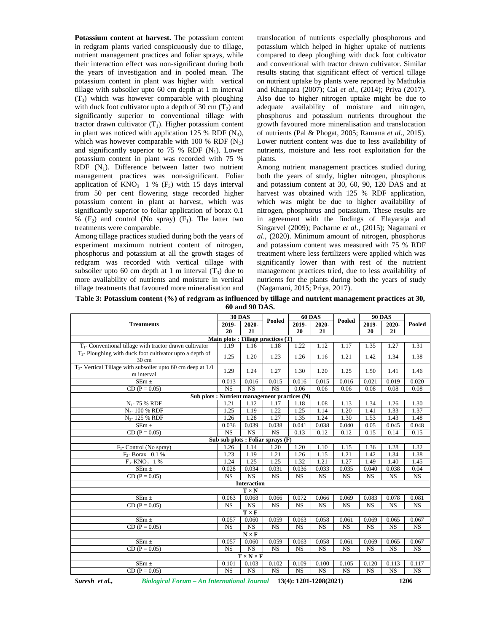**Potassium content at harvest.** The potassium content in redgram plants varied conspicuously due to tillage, nutrient management practices and foliar sprays, while their interaction effect was non-significant during both the years of investigation and in pooled mean. The potassium content in plant was higher with vertical tillage with subsoiler upto 60 cm depth at 1 m interval  $(T_3)$  which was however comparable with ploughing with duck foot cultivator upto a depth of 30 cm  $(T_2)$  and significantly superior to conventional tillage with tractor drawn cultivator  $(T_1)$ . Higher potassium content in plant was noticed with application 125 % RDF  $(N_3)$ , which was however comparable with 100 % RDF  $(N_2)$ and significantly superior to 75 % RDF  $(N_1)$ . Lower potassium content in plant was recorded with 75 %  $RDF (N<sub>1</sub>)$ . Difference between latter two nutrient management practices was non-significant. Foliar application of  $KNO_3$  1 % (F<sub>3</sub>) with 15 days interval from 50 per cent flowering stage recorded higher potassium content in plant at harvest, which was significantly superior to foliar application of borax 0.1 %  $(F_2)$  and control (No spray)  $(F_1)$ . The latter two treatments were comparable.

Among tillage practices studied during both the years of experiment maximum nutrient content of nitrogen, phosphorus and potassium at all the growth stages of redgram was recorded with vertical tillage with subsoiler upto 60 cm depth at 1 m interval  $(T_3)$  due to more availability of nutrients and moisture in vertical tillage treatments that favoured more mineralisation and

translocation of nutrients especially phosphorous and potassium which helped in higher uptake of nutrients compared to deep ploughing with duck foot cultivator and conventional with tractor drawn cultivator. Similar results stating that significant effect of vertical tillage on nutrient uptake by plants were reported by Mathukia and Khanpara (2007); Cai *et al*., (2014); Priya (2017). Also due to higher nitrogen uptake might be due to adequate availability of moisture and nitrogen, phosphorus and potassium nutrients throughout the growth favoured more mineralisation and translocation of nutrients (Pal & Phogat, 2005; Ramana *et al*., 2015). Lower nutrient content was due to less availability of nutrients, moisture and less root exploitation for the plants.

Among nutrient management practices studied during both the years of study, higher nitrogen, phosphorus and potassium content at 30, 60, 90, 120 DAS and at harvest was obtained with 125 % RDF application, which was might be due to higher availability of nitrogen, phosphorus and potassium. These results are in agreement with the findings of Elayaraja and Singarvel (2009); Pacharne *et al*., (2015); Nagamani *et al*., (2020). Minimum amount of nitrogen, phosphorus and potassium content was measured with 75 % RDF treatment where less fertilizers were applied which was significantly lower than with rest of the nutrient management practices tried, due to less availability of nutrients for the plants during both the years of study (Nagamani, 2015; Priya, 2017).

**Table 3: Potassium content (%) of redgram as influenced by tillage and nutrient management practices at 30, 60 and 90 DAS.**

| Pooled<br>Pooled<br>2019-<br>2020-<br><b>Treatments</b><br>2019-<br>2020-<br>2019-<br>2020-<br>20<br>21<br>20<br>21<br>20<br>21<br>Main plots : Tillage practices (T)<br>$T_1$ - Conventional tillage with tractor drawn cultivator<br>1.19<br>1.22<br>1.12<br>1.16<br>1.18<br>1.17<br>1.27<br>1.31<br>1.35<br>$T_2$ - Ploughing with duck foot cultivator upto a depth of<br>1.25<br>1.34<br>1.20<br>1.23<br>1.26<br>1.16<br>1.21<br>1.42<br>1.38<br>30 cm<br>1.29<br>1.24<br>1.27<br>1.30<br>1.20<br>1.25<br>1.41<br>1.50<br>1.46<br>m interval<br>$SEm \pm$<br>0.013<br>0.016<br>0.015<br>0.016<br>0.015<br>0.016<br>0.021<br>0.019<br>$\overline{\text{NS}}$<br>$\overline{\text{NS}}$<br>$\overline{\text{NS}}$<br>$CD (P = 0.05)$<br>0.06<br>0.06<br>0.06<br>0.08<br>0.08<br>0.08<br>Sub plots : Nutrient management practices (N)<br>$N_1$ - 75 % RDF<br>1.21<br>1.12<br>1.17<br>1.08<br>1.13<br>1.34<br>1.26<br>1.18<br>1.30<br>1.25<br>1.22<br>1.25<br>1.20<br>1.33<br>N <sub>2</sub> -100 % RDF<br>1.19<br>1.14<br>1.41<br>1.37<br>1.35<br>1.26<br>1.28<br>1.27<br>1.24<br>1.30<br>1.53<br>1.43<br>N <sub>3</sub> -125 % RDF<br>1.48<br>$SEm \pm$<br>0.036<br>0.039<br>0.038<br>0.041<br>0.038<br>0.040<br>0.05<br>0.045<br>NS<br>$\overline{\text{NS}}$<br>$\overline{\text{NS}}$<br>$CD (P = 0.05)$<br>0.13<br>0.12<br>0.12<br>0.15<br>0.14<br>0.15<br>Sub sub plots : Foliar sprays (F)<br>$F_1$ - Control (No spray)<br>1.26<br>1.14<br>1.20<br>1.20<br>1.10<br>1.15<br>1.36<br>1.28<br>1.32<br>$F_2$ - Borax 0.1 %<br>1.23<br>1.19<br>1.21<br>1.26<br>1.15<br>1.21<br>1.42<br>1.34<br>1.38<br>1.24<br>1.25<br>1.25<br>1.32<br>1.21<br>1.27<br>$F_{3}$ - KNO <sub>3</sub> 1 %<br>1.49<br>1.40<br>1.45<br>0.034<br>0.036<br>0.033<br>$SEm \pm$<br>0.028<br>0.031<br>0.035<br>0.040<br>0.038<br>0.04<br><b>NS</b><br>$CD (P = 0.05)$<br>NS<br>$\overline{\text{NS}}$<br>$\overline{\text{NS}}$<br>$\overline{\text{NS}}$<br>$\overline{\text{NS}}$<br>$\overline{\text{NS}}$<br><b>NS</b><br><b>NS</b><br><b>Interaction</b><br>$T \times N$<br>$SEm \pm$<br>0.068<br>0.072<br>0.063<br>0.066<br>0.066<br>0.069<br>0.083<br>0.078<br>$\overline{\text{NS}}$<br><b>NS</b><br><b>NS</b><br><b>NS</b><br><b>NS</b><br><b>NS</b><br><b>NS</b><br>$CD (P = 0.05)$<br><b>NS</b><br><b>NS</b><br>$T \times F$<br>0.057<br>0.060<br>0.058<br>0.061<br>SEm $\pm$<br>0.059<br>0.063<br>0.069<br>0.065<br>$\overline{\text{NS}}$<br>$CD (P = 0.05)$<br><b>NS</b><br><b>NS</b><br><b>NS</b><br><b>NS</b><br><b>NS</b><br><b>NS</b><br><b>NS</b><br><b>NS</b><br>$N \times F$<br>0.057<br>0.059<br>0.058<br>0.061<br>$SEm \pm$<br>0.060<br>0.063<br>0.069<br>0.065<br><b>NS</b><br><b>NS</b><br><b>NS</b><br>$CD (P = 0.05)$<br><b>NS</b><br><b>NS</b><br><b>NS</b><br><b>NS</b><br><b>NS</b><br><b>NS</b><br>$T \times N \times F$<br>0.102<br>0.100<br>$SEm \pm$<br>0.101<br>0.103<br>0.109<br>0.105<br>0.120<br>0.113<br>$\overline{\text{NS}}$<br>$\overline{\text{NS}}$<br>$CD (P = 0.05)$<br><b>NS</b><br><b>NS</b><br><b>NS</b><br><b>NS</b><br><b>NS</b><br><b>NS</b><br><b>NS</b> |                                                                | <b>30 DAS</b> | <b>60 DAS</b> |  | <b>90 DAS</b> |  |        |
|-------------------------------------------------------------------------------------------------------------------------------------------------------------------------------------------------------------------------------------------------------------------------------------------------------------------------------------------------------------------------------------------------------------------------------------------------------------------------------------------------------------------------------------------------------------------------------------------------------------------------------------------------------------------------------------------------------------------------------------------------------------------------------------------------------------------------------------------------------------------------------------------------------------------------------------------------------------------------------------------------------------------------------------------------------------------------------------------------------------------------------------------------------------------------------------------------------------------------------------------------------------------------------------------------------------------------------------------------------------------------------------------------------------------------------------------------------------------------------------------------------------------------------------------------------------------------------------------------------------------------------------------------------------------------------------------------------------------------------------------------------------------------------------------------------------------------------------------------------------------------------------------------------------------------------------------------------------------------------------------------------------------------------------------------------------------------------------------------------------------------------------------------------------------------------------------------------------------------------------------------------------------------------------------------------------------------------------------------------------------------------------------------------------------------------------------------------------------------------------------------------------------------------------------------------------------------------------------------------------------------------------------------------------------------------------------------------------------------------------------------------------------------------------------------------------------------------------------------------------------------------------------------------------------------------------------------------------------------------------------------------------------------------------------------------------------------------------------|----------------------------------------------------------------|---------------|---------------|--|---------------|--|--------|
|                                                                                                                                                                                                                                                                                                                                                                                                                                                                                                                                                                                                                                                                                                                                                                                                                                                                                                                                                                                                                                                                                                                                                                                                                                                                                                                                                                                                                                                                                                                                                                                                                                                                                                                                                                                                                                                                                                                                                                                                                                                                                                                                                                                                                                                                                                                                                                                                                                                                                                                                                                                                                                                                                                                                                                                                                                                                                                                                                                                                                                                                                           |                                                                |               |               |  |               |  | Pooled |
|                                                                                                                                                                                                                                                                                                                                                                                                                                                                                                                                                                                                                                                                                                                                                                                                                                                                                                                                                                                                                                                                                                                                                                                                                                                                                                                                                                                                                                                                                                                                                                                                                                                                                                                                                                                                                                                                                                                                                                                                                                                                                                                                                                                                                                                                                                                                                                                                                                                                                                                                                                                                                                                                                                                                                                                                                                                                                                                                                                                                                                                                                           |                                                                |               |               |  |               |  |        |
|                                                                                                                                                                                                                                                                                                                                                                                                                                                                                                                                                                                                                                                                                                                                                                                                                                                                                                                                                                                                                                                                                                                                                                                                                                                                                                                                                                                                                                                                                                                                                                                                                                                                                                                                                                                                                                                                                                                                                                                                                                                                                                                                                                                                                                                                                                                                                                                                                                                                                                                                                                                                                                                                                                                                                                                                                                                                                                                                                                                                                                                                                           |                                                                |               |               |  |               |  |        |
|                                                                                                                                                                                                                                                                                                                                                                                                                                                                                                                                                                                                                                                                                                                                                                                                                                                                                                                                                                                                                                                                                                                                                                                                                                                                                                                                                                                                                                                                                                                                                                                                                                                                                                                                                                                                                                                                                                                                                                                                                                                                                                                                                                                                                                                                                                                                                                                                                                                                                                                                                                                                                                                                                                                                                                                                                                                                                                                                                                                                                                                                                           |                                                                |               |               |  |               |  |        |
|                                                                                                                                                                                                                                                                                                                                                                                                                                                                                                                                                                                                                                                                                                                                                                                                                                                                                                                                                                                                                                                                                                                                                                                                                                                                                                                                                                                                                                                                                                                                                                                                                                                                                                                                                                                                                                                                                                                                                                                                                                                                                                                                                                                                                                                                                                                                                                                                                                                                                                                                                                                                                                                                                                                                                                                                                                                                                                                                                                                                                                                                                           |                                                                |               |               |  |               |  |        |
|                                                                                                                                                                                                                                                                                                                                                                                                                                                                                                                                                                                                                                                                                                                                                                                                                                                                                                                                                                                                                                                                                                                                                                                                                                                                                                                                                                                                                                                                                                                                                                                                                                                                                                                                                                                                                                                                                                                                                                                                                                                                                                                                                                                                                                                                                                                                                                                                                                                                                                                                                                                                                                                                                                                                                                                                                                                                                                                                                                                                                                                                                           | $T_3$ - Vertical Tillage with subsoiler upto 60 cm deep at 1.0 |               |               |  |               |  |        |
|                                                                                                                                                                                                                                                                                                                                                                                                                                                                                                                                                                                                                                                                                                                                                                                                                                                                                                                                                                                                                                                                                                                                                                                                                                                                                                                                                                                                                                                                                                                                                                                                                                                                                                                                                                                                                                                                                                                                                                                                                                                                                                                                                                                                                                                                                                                                                                                                                                                                                                                                                                                                                                                                                                                                                                                                                                                                                                                                                                                                                                                                                           |                                                                |               |               |  |               |  | 0.020  |
|                                                                                                                                                                                                                                                                                                                                                                                                                                                                                                                                                                                                                                                                                                                                                                                                                                                                                                                                                                                                                                                                                                                                                                                                                                                                                                                                                                                                                                                                                                                                                                                                                                                                                                                                                                                                                                                                                                                                                                                                                                                                                                                                                                                                                                                                                                                                                                                                                                                                                                                                                                                                                                                                                                                                                                                                                                                                                                                                                                                                                                                                                           |                                                                |               |               |  |               |  |        |
|                                                                                                                                                                                                                                                                                                                                                                                                                                                                                                                                                                                                                                                                                                                                                                                                                                                                                                                                                                                                                                                                                                                                                                                                                                                                                                                                                                                                                                                                                                                                                                                                                                                                                                                                                                                                                                                                                                                                                                                                                                                                                                                                                                                                                                                                                                                                                                                                                                                                                                                                                                                                                                                                                                                                                                                                                                                                                                                                                                                                                                                                                           |                                                                |               |               |  |               |  |        |
|                                                                                                                                                                                                                                                                                                                                                                                                                                                                                                                                                                                                                                                                                                                                                                                                                                                                                                                                                                                                                                                                                                                                                                                                                                                                                                                                                                                                                                                                                                                                                                                                                                                                                                                                                                                                                                                                                                                                                                                                                                                                                                                                                                                                                                                                                                                                                                                                                                                                                                                                                                                                                                                                                                                                                                                                                                                                                                                                                                                                                                                                                           |                                                                |               |               |  |               |  |        |
|                                                                                                                                                                                                                                                                                                                                                                                                                                                                                                                                                                                                                                                                                                                                                                                                                                                                                                                                                                                                                                                                                                                                                                                                                                                                                                                                                                                                                                                                                                                                                                                                                                                                                                                                                                                                                                                                                                                                                                                                                                                                                                                                                                                                                                                                                                                                                                                                                                                                                                                                                                                                                                                                                                                                                                                                                                                                                                                                                                                                                                                                                           |                                                                |               |               |  |               |  |        |
|                                                                                                                                                                                                                                                                                                                                                                                                                                                                                                                                                                                                                                                                                                                                                                                                                                                                                                                                                                                                                                                                                                                                                                                                                                                                                                                                                                                                                                                                                                                                                                                                                                                                                                                                                                                                                                                                                                                                                                                                                                                                                                                                                                                                                                                                                                                                                                                                                                                                                                                                                                                                                                                                                                                                                                                                                                                                                                                                                                                                                                                                                           |                                                                |               |               |  |               |  |        |
|                                                                                                                                                                                                                                                                                                                                                                                                                                                                                                                                                                                                                                                                                                                                                                                                                                                                                                                                                                                                                                                                                                                                                                                                                                                                                                                                                                                                                                                                                                                                                                                                                                                                                                                                                                                                                                                                                                                                                                                                                                                                                                                                                                                                                                                                                                                                                                                                                                                                                                                                                                                                                                                                                                                                                                                                                                                                                                                                                                                                                                                                                           |                                                                |               |               |  |               |  | 0.048  |
|                                                                                                                                                                                                                                                                                                                                                                                                                                                                                                                                                                                                                                                                                                                                                                                                                                                                                                                                                                                                                                                                                                                                                                                                                                                                                                                                                                                                                                                                                                                                                                                                                                                                                                                                                                                                                                                                                                                                                                                                                                                                                                                                                                                                                                                                                                                                                                                                                                                                                                                                                                                                                                                                                                                                                                                                                                                                                                                                                                                                                                                                                           |                                                                |               |               |  |               |  |        |
|                                                                                                                                                                                                                                                                                                                                                                                                                                                                                                                                                                                                                                                                                                                                                                                                                                                                                                                                                                                                                                                                                                                                                                                                                                                                                                                                                                                                                                                                                                                                                                                                                                                                                                                                                                                                                                                                                                                                                                                                                                                                                                                                                                                                                                                                                                                                                                                                                                                                                                                                                                                                                                                                                                                                                                                                                                                                                                                                                                                                                                                                                           |                                                                |               |               |  |               |  |        |
|                                                                                                                                                                                                                                                                                                                                                                                                                                                                                                                                                                                                                                                                                                                                                                                                                                                                                                                                                                                                                                                                                                                                                                                                                                                                                                                                                                                                                                                                                                                                                                                                                                                                                                                                                                                                                                                                                                                                                                                                                                                                                                                                                                                                                                                                                                                                                                                                                                                                                                                                                                                                                                                                                                                                                                                                                                                                                                                                                                                                                                                                                           |                                                                |               |               |  |               |  |        |
|                                                                                                                                                                                                                                                                                                                                                                                                                                                                                                                                                                                                                                                                                                                                                                                                                                                                                                                                                                                                                                                                                                                                                                                                                                                                                                                                                                                                                                                                                                                                                                                                                                                                                                                                                                                                                                                                                                                                                                                                                                                                                                                                                                                                                                                                                                                                                                                                                                                                                                                                                                                                                                                                                                                                                                                                                                                                                                                                                                                                                                                                                           |                                                                |               |               |  |               |  |        |
|                                                                                                                                                                                                                                                                                                                                                                                                                                                                                                                                                                                                                                                                                                                                                                                                                                                                                                                                                                                                                                                                                                                                                                                                                                                                                                                                                                                                                                                                                                                                                                                                                                                                                                                                                                                                                                                                                                                                                                                                                                                                                                                                                                                                                                                                                                                                                                                                                                                                                                                                                                                                                                                                                                                                                                                                                                                                                                                                                                                                                                                                                           |                                                                |               |               |  |               |  |        |
|                                                                                                                                                                                                                                                                                                                                                                                                                                                                                                                                                                                                                                                                                                                                                                                                                                                                                                                                                                                                                                                                                                                                                                                                                                                                                                                                                                                                                                                                                                                                                                                                                                                                                                                                                                                                                                                                                                                                                                                                                                                                                                                                                                                                                                                                                                                                                                                                                                                                                                                                                                                                                                                                                                                                                                                                                                                                                                                                                                                                                                                                                           |                                                                |               |               |  |               |  |        |
|                                                                                                                                                                                                                                                                                                                                                                                                                                                                                                                                                                                                                                                                                                                                                                                                                                                                                                                                                                                                                                                                                                                                                                                                                                                                                                                                                                                                                                                                                                                                                                                                                                                                                                                                                                                                                                                                                                                                                                                                                                                                                                                                                                                                                                                                                                                                                                                                                                                                                                                                                                                                                                                                                                                                                                                                                                                                                                                                                                                                                                                                                           |                                                                |               |               |  |               |  |        |
|                                                                                                                                                                                                                                                                                                                                                                                                                                                                                                                                                                                                                                                                                                                                                                                                                                                                                                                                                                                                                                                                                                                                                                                                                                                                                                                                                                                                                                                                                                                                                                                                                                                                                                                                                                                                                                                                                                                                                                                                                                                                                                                                                                                                                                                                                                                                                                                                                                                                                                                                                                                                                                                                                                                                                                                                                                                                                                                                                                                                                                                                                           |                                                                |               |               |  |               |  |        |
|                                                                                                                                                                                                                                                                                                                                                                                                                                                                                                                                                                                                                                                                                                                                                                                                                                                                                                                                                                                                                                                                                                                                                                                                                                                                                                                                                                                                                                                                                                                                                                                                                                                                                                                                                                                                                                                                                                                                                                                                                                                                                                                                                                                                                                                                                                                                                                                                                                                                                                                                                                                                                                                                                                                                                                                                                                                                                                                                                                                                                                                                                           |                                                                |               |               |  |               |  |        |
|                                                                                                                                                                                                                                                                                                                                                                                                                                                                                                                                                                                                                                                                                                                                                                                                                                                                                                                                                                                                                                                                                                                                                                                                                                                                                                                                                                                                                                                                                                                                                                                                                                                                                                                                                                                                                                                                                                                                                                                                                                                                                                                                                                                                                                                                                                                                                                                                                                                                                                                                                                                                                                                                                                                                                                                                                                                                                                                                                                                                                                                                                           |                                                                |               |               |  |               |  | 0.081  |
|                                                                                                                                                                                                                                                                                                                                                                                                                                                                                                                                                                                                                                                                                                                                                                                                                                                                                                                                                                                                                                                                                                                                                                                                                                                                                                                                                                                                                                                                                                                                                                                                                                                                                                                                                                                                                                                                                                                                                                                                                                                                                                                                                                                                                                                                                                                                                                                                                                                                                                                                                                                                                                                                                                                                                                                                                                                                                                                                                                                                                                                                                           |                                                                |               |               |  |               |  |        |
|                                                                                                                                                                                                                                                                                                                                                                                                                                                                                                                                                                                                                                                                                                                                                                                                                                                                                                                                                                                                                                                                                                                                                                                                                                                                                                                                                                                                                                                                                                                                                                                                                                                                                                                                                                                                                                                                                                                                                                                                                                                                                                                                                                                                                                                                                                                                                                                                                                                                                                                                                                                                                                                                                                                                                                                                                                                                                                                                                                                                                                                                                           |                                                                |               |               |  |               |  |        |
|                                                                                                                                                                                                                                                                                                                                                                                                                                                                                                                                                                                                                                                                                                                                                                                                                                                                                                                                                                                                                                                                                                                                                                                                                                                                                                                                                                                                                                                                                                                                                                                                                                                                                                                                                                                                                                                                                                                                                                                                                                                                                                                                                                                                                                                                                                                                                                                                                                                                                                                                                                                                                                                                                                                                                                                                                                                                                                                                                                                                                                                                                           |                                                                |               |               |  |               |  | 0.067  |
|                                                                                                                                                                                                                                                                                                                                                                                                                                                                                                                                                                                                                                                                                                                                                                                                                                                                                                                                                                                                                                                                                                                                                                                                                                                                                                                                                                                                                                                                                                                                                                                                                                                                                                                                                                                                                                                                                                                                                                                                                                                                                                                                                                                                                                                                                                                                                                                                                                                                                                                                                                                                                                                                                                                                                                                                                                                                                                                                                                                                                                                                                           |                                                                |               |               |  |               |  |        |
|                                                                                                                                                                                                                                                                                                                                                                                                                                                                                                                                                                                                                                                                                                                                                                                                                                                                                                                                                                                                                                                                                                                                                                                                                                                                                                                                                                                                                                                                                                                                                                                                                                                                                                                                                                                                                                                                                                                                                                                                                                                                                                                                                                                                                                                                                                                                                                                                                                                                                                                                                                                                                                                                                                                                                                                                                                                                                                                                                                                                                                                                                           |                                                                |               |               |  |               |  |        |
|                                                                                                                                                                                                                                                                                                                                                                                                                                                                                                                                                                                                                                                                                                                                                                                                                                                                                                                                                                                                                                                                                                                                                                                                                                                                                                                                                                                                                                                                                                                                                                                                                                                                                                                                                                                                                                                                                                                                                                                                                                                                                                                                                                                                                                                                                                                                                                                                                                                                                                                                                                                                                                                                                                                                                                                                                                                                                                                                                                                                                                                                                           |                                                                |               |               |  |               |  | 0.067  |
|                                                                                                                                                                                                                                                                                                                                                                                                                                                                                                                                                                                                                                                                                                                                                                                                                                                                                                                                                                                                                                                                                                                                                                                                                                                                                                                                                                                                                                                                                                                                                                                                                                                                                                                                                                                                                                                                                                                                                                                                                                                                                                                                                                                                                                                                                                                                                                                                                                                                                                                                                                                                                                                                                                                                                                                                                                                                                                                                                                                                                                                                                           |                                                                |               |               |  |               |  |        |
|                                                                                                                                                                                                                                                                                                                                                                                                                                                                                                                                                                                                                                                                                                                                                                                                                                                                                                                                                                                                                                                                                                                                                                                                                                                                                                                                                                                                                                                                                                                                                                                                                                                                                                                                                                                                                                                                                                                                                                                                                                                                                                                                                                                                                                                                                                                                                                                                                                                                                                                                                                                                                                                                                                                                                                                                                                                                                                                                                                                                                                                                                           |                                                                |               |               |  |               |  |        |
|                                                                                                                                                                                                                                                                                                                                                                                                                                                                                                                                                                                                                                                                                                                                                                                                                                                                                                                                                                                                                                                                                                                                                                                                                                                                                                                                                                                                                                                                                                                                                                                                                                                                                                                                                                                                                                                                                                                                                                                                                                                                                                                                                                                                                                                                                                                                                                                                                                                                                                                                                                                                                                                                                                                                                                                                                                                                                                                                                                                                                                                                                           |                                                                |               |               |  |               |  | 0.117  |
|                                                                                                                                                                                                                                                                                                                                                                                                                                                                                                                                                                                                                                                                                                                                                                                                                                                                                                                                                                                                                                                                                                                                                                                                                                                                                                                                                                                                                                                                                                                                                                                                                                                                                                                                                                                                                                                                                                                                                                                                                                                                                                                                                                                                                                                                                                                                                                                                                                                                                                                                                                                                                                                                                                                                                                                                                                                                                                                                                                                                                                                                                           |                                                                |               |               |  |               |  |        |

*Suresh et al., Biological Forum – An International Journal* **13(4): 1201-1208(2021) 1206**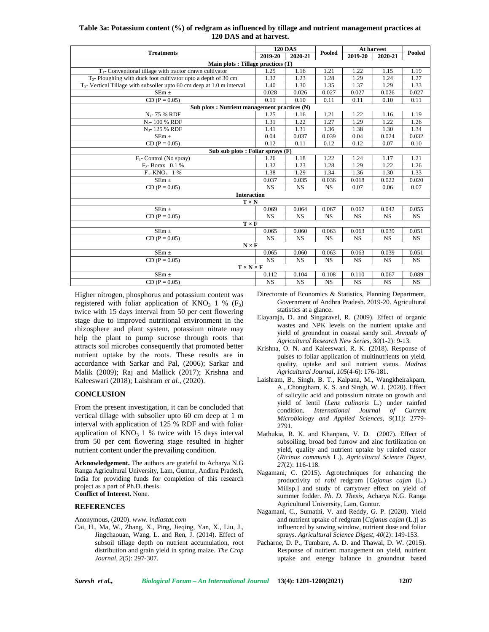| Table 3a: Potassium content (%) of redgram as influenced by tillage and nutrient management practices at |  |
|----------------------------------------------------------------------------------------------------------|--|
| 120 DAS and at harvest.                                                                                  |  |

|                                                                             |           | <b>120 DAS</b> |           | At harvest |           |           |
|-----------------------------------------------------------------------------|-----------|----------------|-----------|------------|-----------|-----------|
| <b>Treatments</b>                                                           | 2019-20   | 2020-21        | Pooled    | 2019-20    | 2020-21   | Pooled    |
| Main plots : Tillage practices (T)                                          |           |                |           |            |           |           |
| $T_1$ - Conventional tillage with tractor drawn cultivator                  | 1.25      | 1.16           | 1.21      | 1.22       | 1.15      | 1.19      |
| $T2$ - Ploughing with duck foot cultivator upto a depth of 30 cm            | 1.32      | 1.23           | 1.28      | 1.29       | 1.24      | 1.27      |
| $T_{3}$ - Vertical Tillage with subsoiler upto 60 cm deep at 1.0 m interval | 1.40      | 1.30           | 1.35      | 1.37       | 1.29      | 1.33      |
| $SEm \pm$                                                                   | 0.028     | 0.026          | 0.027     | 0.027      | 0.026     | 0.027     |
| $CD (P = 0.05)$                                                             | 0.11      | 0.10           | 0.11      | 0.11       | 0.10      | 0.11      |
| Sub plots : Nutrient management practices (N)                               |           |                |           |            |           |           |
| $N_1$ - 75 % RDF                                                            | 1.25      | 1.16           | 1.21      | 1.22       | 1.16      | 1.19      |
| $N_{2}$ - 100 % RDF                                                         | 1.31      | 1.22           | 1.27      | 1.29       | 1.22      | 1.26      |
| N <sub>3</sub> -125 % RDF                                                   | 1.41      | 1.31           | 1.36      | 1.38       | 1.30      | 1.34      |
| $SEm \pm$                                                                   | 0.04      | 0.037          | 0.039     | 0.04       | 0.024     | 0.032     |
| $CD (P = 0.05)$                                                             | 0.12      | 0.11           | 0.12      | 0.12       | 0.07      | 0.10      |
| Sub sub plots : Foliar sprays $(F)$                                         |           |                |           |            |           |           |
| $F_1$ - Control (No spray)                                                  | 1.26      | 1.18           | 1.22      | 1.24       | 1.17      | 1.21      |
| $F_2$ - Borax 0.1 %                                                         | 1.32      | 1.23           | 1.28      | 1.29       | 1.22      | 1.26      |
| $F_3$ - KNO <sub>3</sub> 1 %                                                | 1.38      | 1.29           | 1.34      | 1.36       | 1.30      | 1.33      |
| $SEm \pm$                                                                   | 0.037     | 0.035          | 0.036     | 0.018      | 0.022     | 0.020     |
| $CD (P = 0.05)$                                                             | <b>NS</b> | <b>NS</b>      | <b>NS</b> | 0.07       | 0.06      | 0.07      |
| <b>Interaction</b>                                                          |           |                |           |            |           |           |
| $T \times N$                                                                |           |                |           |            |           |           |
| $SEm \pm$                                                                   | 0.069     | 0.064          | 0.067     | 0.067      | 0.042     | 0.055     |
| $CD (P = 0.05)$                                                             | <b>NS</b> | <b>NS</b>      | <b>NS</b> | <b>NS</b>  | <b>NS</b> | <b>NS</b> |
| $T \times F$                                                                |           |                |           |            |           |           |
| $SEm \pm$                                                                   | 0.065     | 0.060          | 0.063     | 0.063      | 0.039     | 0.051     |
| $CD (P = 0.05)$                                                             | <b>NS</b> | <b>NS</b>      | <b>NS</b> | <b>NS</b>  | <b>NS</b> | <b>NS</b> |
| $N \times F$                                                                |           |                |           |            |           |           |
| SEm $\pm$                                                                   | 0.065     | 0.060          | 0.063     | 0.063      | 0.039     | 0.051     |
| $CD (P = 0.05)$                                                             | <b>NS</b> | <b>NS</b>      | <b>NS</b> | <b>NS</b>  | <b>NS</b> | <b>NS</b> |
| $T \times N \times F$                                                       |           |                |           |            |           |           |
| $SEm \pm$                                                                   | 0.112     | 0.104          | 0.108     | 0.110      | 0.067     | 0.089     |
| $CD (P = 0.05)$                                                             | <b>NS</b> | <b>NS</b>      | <b>NS</b> | <b>NS</b>  | <b>NS</b> | <b>NS</b> |

Higher nitrogen, phosphorus and potassium content was registered with foliar application of  $KNO<sub>3</sub>$  1 % (F<sub>3</sub>) twice with 15 days interval from 50 per cent flowering stage due to improved nutritional environment in the rhizosphere and plant system, potassium nitrate may help the plant to pump sucrose through roots that attracts soil microbes consequently that promoted better nutrient uptake by the roots. These results are in accordance with Sarkar and Pal, (2006); Sarkar and Malik (2009); Raj and Mallick (2017); Krishna and Kaleeswari (2018); Laishram *et al.,* (2020).

## **CONCLUSION**

From the present investigation, it can be concluded that vertical tillage with subsoiler upto 60 cm deep at 1 m interval with application of 125 % RDF and with foliar application of  $KNO<sub>3</sub> 1 %$  twice with 15 days interval from 50 per cent flowering stage resulted in higher nutrient content under the prevailing condition.

**Acknowledgement.** The authors are grateful to Acharya N.G Ranga Agricultural University, Lam, Guntur, Andhra Pradesh, India for providing funds for completion of this research project as a part of Ph.D. thesis. **Conflict of Interest.** None.

#### **REFERENCES**

Anonymous, (2020). *www. indiastat.com*

Cai, H., Ma, W., Zhang, X., Ping, Jieqing, Yan, X., Liu, J., Jingchaouan, Wang, L. and Ren, J. (2014). Effect of subsoil tillage depth on nutrient accumulation, root distribution and grain yield in spring maize. *The Crop Journal*, *2*(5): 297-307.

Directorate of Economics & Statistics, Planning Department, Government of Andhra Pradesh. 2019-20. Agricultural statistics at a glance.

- Elayaraja, D. and Singaravel, R. (2009). Effect of organic wastes and NPK levels on the nutrient uptake and yield of groundnut in coastal sandy soil. *Annuals of Agricultural Research New Series*, *30*(1-2): 9-13.
- Krishna, O. N. and Kaleeswari, R. K. (2018). Response of pulses to foliar application of multinutrients on yield, quality, uptake and soil nutrient status. *Madras Agricultural Journal*, *105*(4-6): 176-181.
- Laishram, B., Singh, B. T., Kalpana, M., Wangkheirakpam, A., Chongtham, K. S. and Singh, W. J. (2020). Effect of salicylic acid and potassium nitrate on growth and yield of lentil (*Lens culinaris* L.) under rainfed condition. *International Journal of Current Microbiology and Applied Sciences, 9*(11): 2779- 2791.
- Mathukia, R. K. and Khanpara, V. D. (2007). Effect of subsoiling, broad bed furrow and zinc fertilization on yield, quality and nutrient uptake by rainfed castor (*Ricinus communis* L.). *Agricultural Science Digest*, *27*(2): 116-118.
- Nagamani, C. (2015). Agrotechniques for enhancing the productivity of *rabi* redgram [*Cajanus cajan* (L.) Millsp.] and study of carryover effect on yield of summer fodder. *Ph. D. Thesis*, Acharya N.G. Ranga Agricultural University, Lam, Guntur.
- Nagamani, C., Sumathi, V. and Reddy, G. P. (2020). Yield and nutrient uptake of redgram [*Cajanus cajan* (L.)] as influenced by sowing window, nutrient dose and foliar sprays. *Agricultural Science Digest*, *40*(2): 149-153.
- Pacharne, D. P., Tumbare, A. D. and Thawal, D. W. (2015). Response of nutrient management on yield, nutrient uptake and energy balance in groundnut based